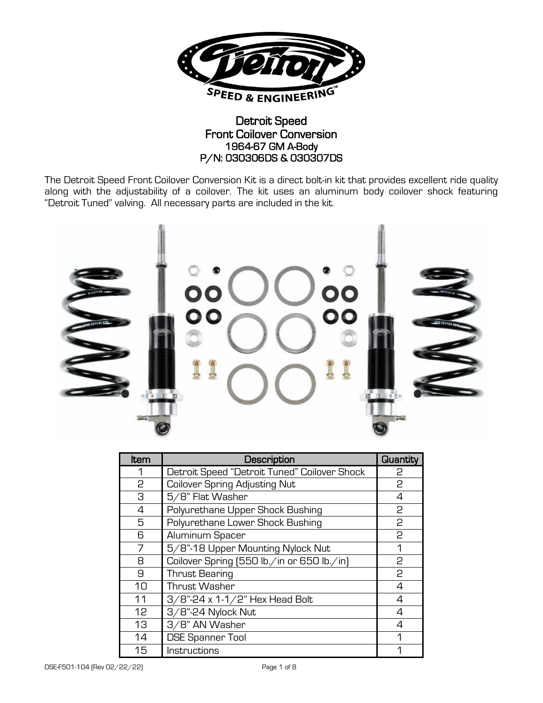

## Detroit Speed Front Coilover Conversion 1964-67 GM A-Body P/N: 030306DS & 030307DS

The Detroit Speed Front Coilover Conversion Kit is a direct bolt-in kit that provides excellent ride quality along with the adjustability of a coilover. The kit uses an aluminum body coilover shock featuring "Detroit Tuned" valving. All necessary parts are included in the kit.



| Item | Description                                  | Quantity |
|------|----------------------------------------------|----------|
| 1    | Detroit Speed "Detroit Tuned" Coilover Shock | 2        |
| 2    | <b>Coilover Spring Adjusting Nut</b>         | 2        |
| З    | 5/8" Flat Washer                             | 4        |
| 4    | Polyurethane Upper Shock Bushing             | 2        |
| 5    | Polyurethane Lower Shock Bushing             | 2        |
| 6    | Aluminum Spacer                              | 2        |
| 7    | 5/8"-18 Upper Mounting Nylock Nut            | 1        |
| 8    | Coilover Spring (550 lb./in or 650 lb./in)   | 2        |
| 9    | <b>Thrust Bearing</b>                        | 2        |
| 10   | Thrust Washer                                | 4        |
| 11   | 3/8"-24 x 1-1/2" Hex Head Bolt               | 4        |
| 12   | 3/8"-24 Nylock Nut                           | 4        |
| 13   | 3/8" AN Washer                               | Δ        |
| 14   | <b>DSE Spanner Tool</b>                      | л        |
| 15   | Instructions                                 | л        |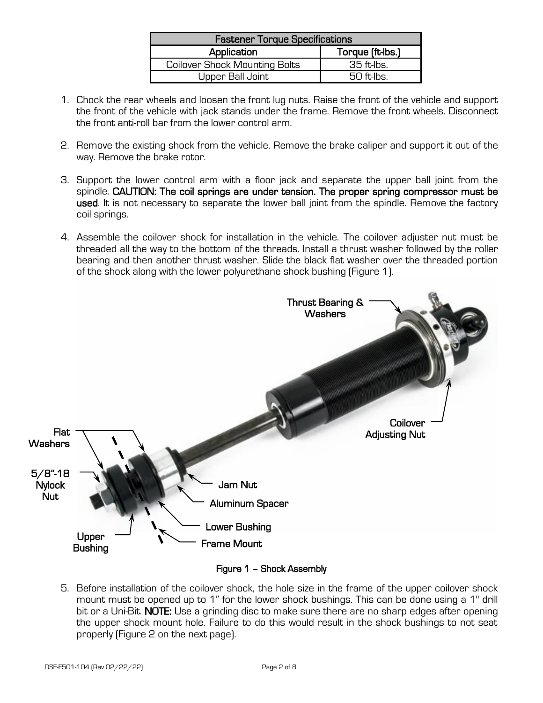| <b>Fastener Torque Specifications</b> |                  |  |  |
|---------------------------------------|------------------|--|--|
| Application                           | Torque (ft-lbs.) |  |  |
| <b>Coilover Shock Mounting Bolts</b>  | $35$ ft-lbs.     |  |  |
| Upper Ball Joint                      | $50$ ft lbs.     |  |  |

- 1. Chock the rear wheels and loosen the front lug nuts. Raise the front of the vehicle and support the front of the vehicle with jack stands under the frame. Remove the front wheels. Disconnect the front anti-roll bar from the lower control arm.
- 2. Remove the existing shock from the vehicle. Remove the brake caliper and support it out of the way. Remove the brake rotor.
- 3. Support the lower control arm with a floor jack and separate the upper ball joint from the spindle. CAUTION: The coil springs are under tension. The proper spring compressor must be used. It is not necessary to separate the lower ball joint from the spindle. Remove the factory coil springs.
- 4. Assemble the coilover shock for installation in the vehicle. The coilover adjuster nut must be threaded all the way to the bottom of the threads. Install a thrust washer followed by the roller bearing and then another thrust washer. Slide the black flat washer over the threaded portion of the shock along with the lower polyurethane shock bushing (Figure 1).



Figure 1 – Shock Assembly

5. Before installation of the coilover shock, the hole size in the frame of the upper coilover shock mount must be opened up to 1" for the lower shock bushings. This can be done using a 1" drill bit or a Uni-Bit. NOTE: Use a grinding disc to make sure there are no sharp edges after opening the upper shock mount hole. Failure to do this would result in the shock bushings to not seat properly (Figure 2 on the next page).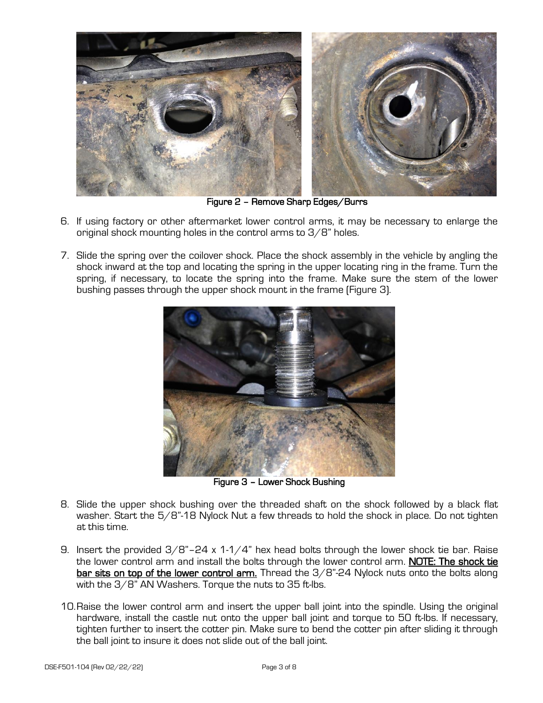

Figure 2 – Remove Sharp Edges/Burrs

- 6. If using factory or other aftermarket lower control arms, it may be necessary to enlarge the original shock mounting holes in the control arms to 3/8" holes.
- 7. Slide the spring over the coilover shock. Place the shock assembly in the vehicle by angling the shock inward at the top and locating the spring in the upper locating ring in the frame. Turn the spring, if necessary, to locate the spring into the frame. Make sure the stem of the lower bushing passes through the upper shock mount in the frame (Figure 3).



Figure 3 – Lower Shock Bushing

- 8. Slide the upper shock bushing over the threaded shaft on the shock followed by a black flat washer. Start the  $5/8$ "-18 Nylock Nut a few threads to hold the shock in place. Do not tighten at this time.
- 9. Insert the provided  $3/8$ "-24 x 1-1/4" hex head bolts through the lower shock tie bar. Raise the lower control arm and install the bolts through the lower control arm. NOTE: The shock tie bar sits on top of the lower control arm. Thread the  $3/8$ "-24 Nylock nuts onto the bolts along with the 3/8" AN Washers. Torque the nuts to 35 ft-lbs.
- 10.Raise the lower control arm and insert the upper ball joint into the spindle. Using the original hardware, install the castle nut onto the upper ball joint and torque to 50 ft-lbs. If necessary, tighten further to insert the cotter pin. Make sure to bend the cotter pin after sliding it through the ball joint to insure it does not slide out of the ball joint.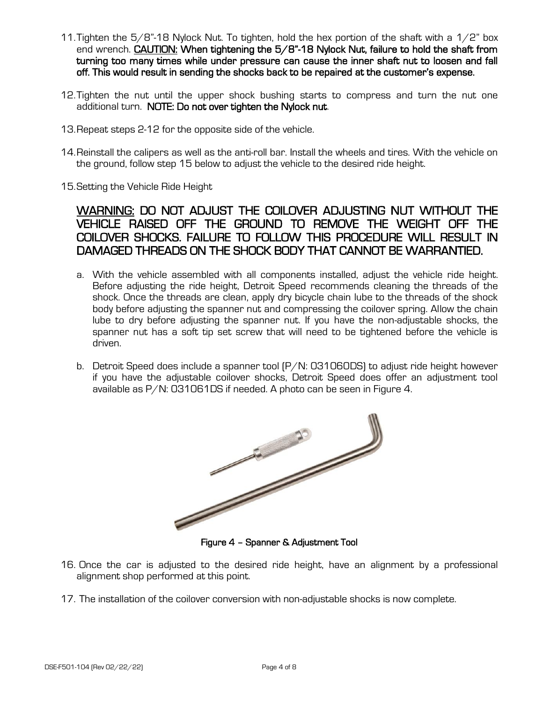- 11. Tighten the  $5/8$ "-18 Nylock Nut. To tighten, hold the hex portion of the shaft with a  $1/2$ " box end wrench. CAUTION: When tightening the 5/8"-18 Nylock Nut, failure to hold the shaft from turning too many times while under pressure can cause the inner shaft nut to loosen and fall off. This would result in sending the shocks back to be repaired at the customer's expense.
- 12.Tighten the nut until the upper shock bushing starts to compress and turn the nut one additional turn. NOTE: Do not over tighten the Nylock nut.
- 13.Repeat steps 2-12 for the opposite side of the vehicle.
- 14.Reinstall the calipers as well as the anti-roll bar. Install the wheels and tires. With the vehicle on the ground, follow step 15 below to adjust the vehicle to the desired ride height.
- 15.Setting the Vehicle Ride Height

# WARNING: DO NOT ADJUST THE COILOVER ADJUSTING NUT WITHOUT THE VEHICLE RAISED OFF THE GROUND TO REMOVE THE WEIGHT OFF THE COILOVER SHOCKS. FAILURE TO FOLLOW THIS PROCEDURE WILL RESULT IN DAMAGED THREADS ON THE SHOCK BODY THAT CANNOT BE WARRANTIED.

- a. With the vehicle assembled with all components installed, adjust the vehicle ride height. Before adjusting the ride height, Detroit Speed recommends cleaning the threads of the shock. Once the threads are clean, apply dry bicycle chain lube to the threads of the shock body before adjusting the spanner nut and compressing the coilover spring. Allow the chain lube to dry before adjusting the spanner nut. If you have the non-adjustable shocks, the spanner nut has a soft tip set screw that will need to be tightened before the vehicle is driven.
- b. Detroit Speed does include a spanner tool (P/N: 031060DS) to adjust ride height however if you have the adjustable coilover shocks, Detroit Speed does offer an adjustment tool available as P/N: 031061DS if needed. A photo can be seen in Figure 4.



Figure 4 – Spanner & Adjustment Tool

- 16. Once the car is adjusted to the desired ride height, have an alignment by a professional alignment shop performed at this point.
- 17. The installation of the coilover conversion with non-adjustable shocks is now complete.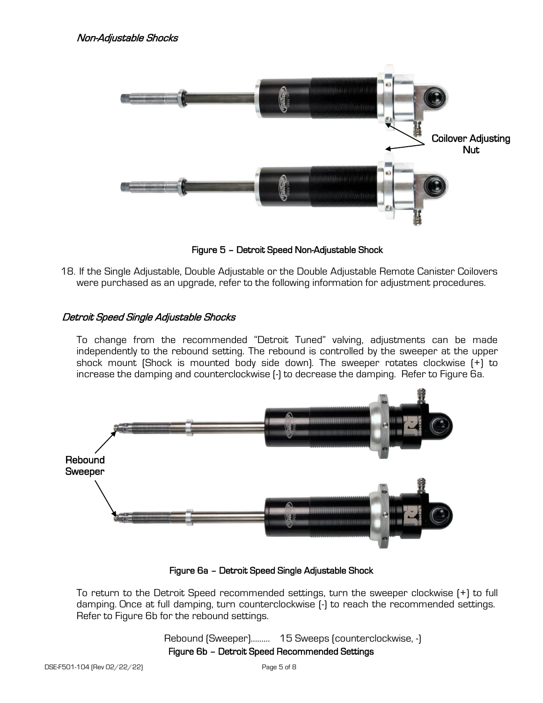

Figure 5 – Detroit Speed Non-Adjustable Shock

18. If the Single Adjustable, Double Adjustable or the Double Adjustable Remote Canister Coilovers were purchased as an upgrade, refer to the following information for adjustment procedures.

## Detroit Speed Single Adjustable Shocks

To change from the recommended "Detroit Tuned" valving, adjustments can be made independently to the rebound setting. The rebound is controlled by the sweeper at the upper shock mount (Shock is mounted body side down). The sweeper rotates clockwise (+) to increase the damping and counterclockwise (-) to decrease the damping. Refer to Figure 6a.



Figure 6a – Detroit Speed Single Adjustable Shock

To return to the Detroit Speed recommended settings, turn the sweeper clockwise (+) to full damping. Once at full damping, turn counterclockwise (-) to reach the recommended settings. Refer to Figure 6b for the rebound settings.

# Rebound (Sweeper)……… 15 Sweeps (counterclockwise, -) Figure 6b – Detroit Speed Recommended Settings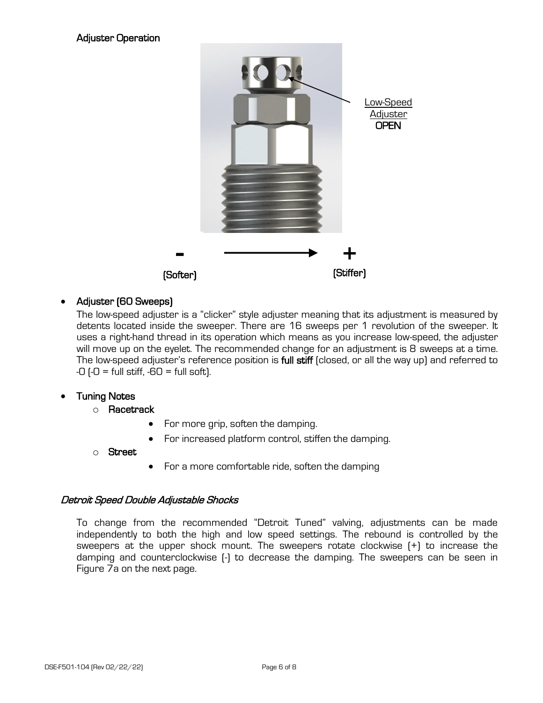

## • Adjuster (60 Sweeps)

The low-speed adjuster is a "clicker" style adjuster meaning that its adjustment is measured by detents located inside the sweeper. There are 16 sweeps per 1 revolution of the sweeper. It uses a right-hand thread in its operation which means as you increase low-speed, the adjuster will move up on the eyelet. The recommended change for an adjustment is 8 sweeps at a time. The low-speed adjuster's reference position is full stiff (closed, or all the way up) and referred to  $-0$  ( $-0$  = full stiff,  $-60$  = full soft).

## **Tuning Notes**

- o Racetrack
	- For more grip, soften the damping.
	- For increased platform control, stiffen the damping.
- o Street
- For a more comfortable ride, soften the damping

## Detroit Speed Double Adjustable Shocks

To change from the recommended "Detroit Tuned" valving, adjustments can be made independently to both the high and low speed settings. The rebound is controlled by the sweepers at the upper shock mount. The sweepers rotate clockwise (+) to increase the damping and counterclockwise (-) to decrease the damping. The sweepers can be seen in Figure 7a on the next page.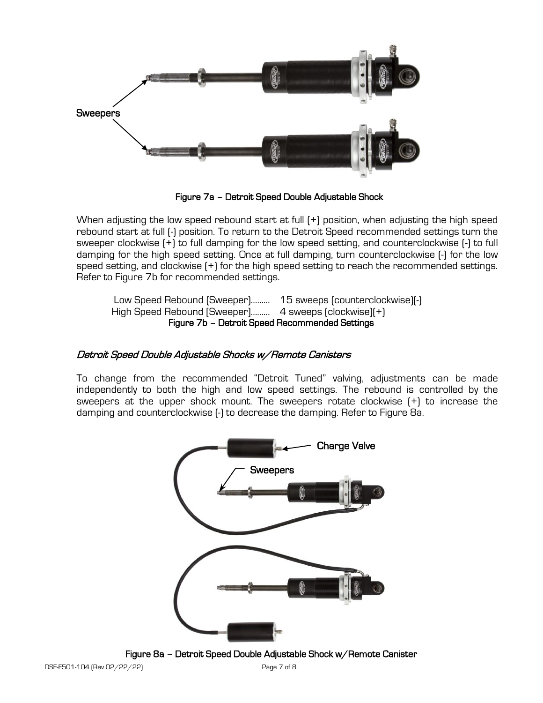

Figure 7a – Detroit Speed Double Adjustable Shock

When adjusting the low speed rebound start at full  $[+]$  position, when adjusting the high speed rebound start at full (-) position. To return to the Detroit Speed recommended settings turn the sweeper clockwise (+) to full damping for the low speed setting, and counterclockwise (-) to full damping for the high speed setting. Once at full damping, turn counterclockwise (-) for the low speed setting, and clockwise (+) for the high speed setting to reach the recommended settings. Refer to Figure 7b for recommended settings.

Low Speed Rebound (Sweeper)……… 15 sweeps (counterclockwise)(-) High Speed Rebound [Sweeper]……… 4 sweeps (clockwise)(+) Figure 7b – Detroit Speed Recommended Settings

#### Detroit Speed Double Adjustable Shocks w/Remote Canisters

To change from the recommended "Detroit Tuned" valving, adjustments can be made independently to both the high and low speed settings. The rebound is controlled by the sweepers at the upper shock mount. The sweepers rotate clockwise (+) to increase the damping and counterclockwise (-) to decrease the damping. Refer to Figure 8a.



Figure 8a – Detroit Speed Double Adjustable Shock w/Remote Canister